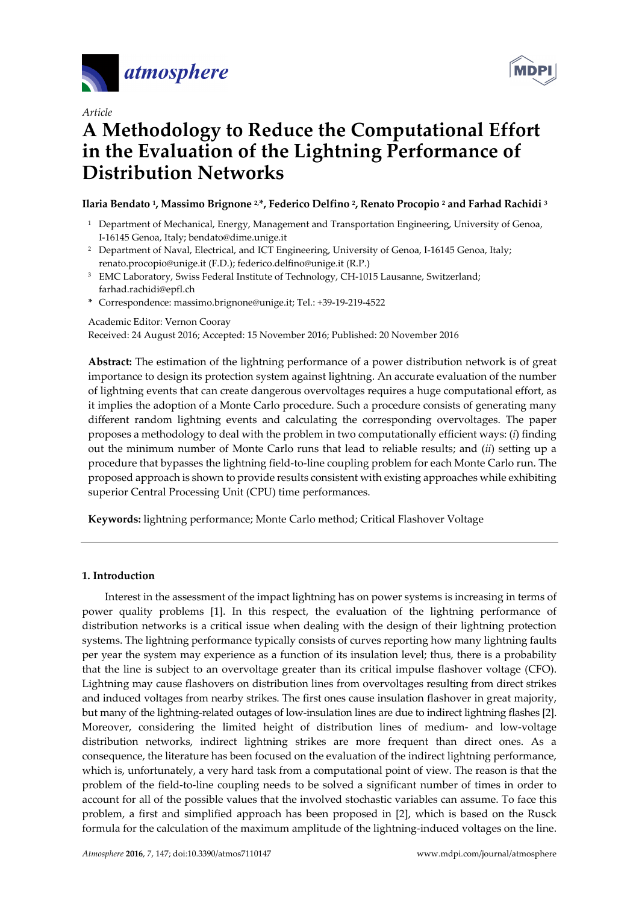



# *Article*  **A Methodology to Reduce the Computational Effort in the Evaluation of the Lightning Performance of Distribution Networks**

# **Ilaria Bendato 1, Massimo Brignone 2,\*, Federico Delfino 2, Renato Procopio 2 and Farhad Rachidi 3**

- <sup>1</sup> Department of Mechanical, Energy, Management and Transportation Engineering, University of Genoa, I-16145 Genoa, Italy; bendato@dime.unige.it
- <sup>2</sup> Department of Naval, Electrical, and ICT Engineering, University of Genoa, I-16145 Genoa, Italy; renato.procopio@unige.it (F.D.); federico.delfino@unige.it (R.P.)
- <sup>3</sup> EMC Laboratory, Swiss Federal Institute of Technology, CH-1015 Lausanne, Switzerland; farhad.rachidi@epfl.ch
- **\*** Correspondence: massimo.brignone@unige.it; Tel.: +39-19-219-4522

Academic Editor: Vernon Cooray

Received: 24 August 2016; Accepted: 15 November 2016; Published: 20 November 2016

**Abstract:** The estimation of the lightning performance of a power distribution network is of great importance to design its protection system against lightning. An accurate evaluation of the number of lightning events that can create dangerous overvoltages requires a huge computational effort, as it implies the adoption of a Monte Carlo procedure. Such a procedure consists of generating many different random lightning events and calculating the corresponding overvoltages. The paper proposes a methodology to deal with the problem in two computationally efficient ways: (*i*) finding out the minimum number of Monte Carlo runs that lead to reliable results; and (*ii*) setting up a procedure that bypasses the lightning field-to-line coupling problem for each Monte Carlo run. The proposed approach is shown to provide results consistent with existing approaches while exhibiting superior Central Processing Unit (CPU) time performances.

**Keywords:** lightning performance; Monte Carlo method; Critical Flashover Voltage

# **1. Introduction**

Interest in the assessment of the impact lightning has on power systems is increasing in terms of power quality problems [1]. In this respect, the evaluation of the lightning performance of distribution networks is a critical issue when dealing with the design of their lightning protection systems. The lightning performance typically consists of curves reporting how many lightning faults per year the system may experience as a function of its insulation level; thus, there is a probability that the line is subject to an overvoltage greater than its critical impulse flashover voltage (CFO). Lightning may cause flashovers on distribution lines from overvoltages resulting from direct strikes and induced voltages from nearby strikes. The first ones cause insulation flashover in great majority, but many of the lightning-related outages of low-insulation lines are due to indirect lightning flashes [2]. Moreover, considering the limited height of distribution lines of medium- and low-voltage distribution networks, indirect lightning strikes are more frequent than direct ones. As a consequence, the literature has been focused on the evaluation of the indirect lightning performance, which is, unfortunately, a very hard task from a computational point of view. The reason is that the problem of the field-to-line coupling needs to be solved a significant number of times in order to account for all of the possible values that the involved stochastic variables can assume. To face this problem, a first and simplified approach has been proposed in [2], which is based on the Rusck formula for the calculation of the maximum amplitude of the lightning-induced voltages on the line.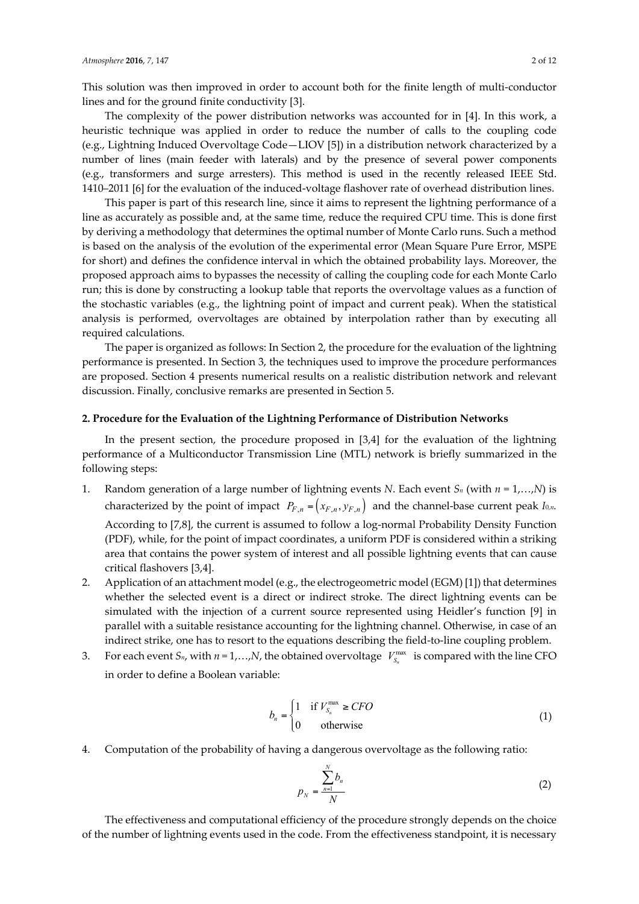This solution was then improved in order to account both for the finite length of multi-conductor lines and for the ground finite conductivity [3].

The complexity of the power distribution networks was accounted for in [4]. In this work, a heuristic technique was applied in order to reduce the number of calls to the coupling code (e.g., Lightning Induced Overvoltage Code—LIOV [5]) in a distribution network characterized by a number of lines (main feeder with laterals) and by the presence of several power components (e.g., transformers and surge arresters). This method is used in the recently released IEEE Std. 1410–2011 [6] for the evaluation of the induced-voltage flashover rate of overhead distribution lines.

This paper is part of this research line, since it aims to represent the lightning performance of a line as accurately as possible and, at the same time, reduce the required CPU time. This is done first by deriving a methodology that determines the optimal number of Monte Carlo runs. Such a method is based on the analysis of the evolution of the experimental error (Mean Square Pure Error, MSPE for short) and defines the confidence interval in which the obtained probability lays. Moreover, the proposed approach aims to bypasses the necessity of calling the coupling code for each Monte Carlo run; this is done by constructing a lookup table that reports the overvoltage values as a function of the stochastic variables (e.g., the lightning point of impact and current peak). When the statistical analysis is performed, overvoltages are obtained by interpolation rather than by executing all required calculations.

The paper is organized as follows: In Section 2, the procedure for the evaluation of the lightning performance is presented. In Section 3, the techniques used to improve the procedure performances are proposed. Section 4 presents numerical results on a realistic distribution network and relevant discussion. Finally, conclusive remarks are presented in Section 5.

#### **2. Procedure for the Evaluation of the Lightning Performance of Distribution Networks**

In the present section, the procedure proposed in [3,4] for the evaluation of the lightning performance of a Multiconductor Transmission Line (MTL) network is briefly summarized in the following steps:

- 1. Random generation of a large number of lightning events *N*. Each event  $S_n$  (with  $n = 1,...,N$ ) is characterized by the point of impact  $P_{F,n} = (x_{F,n}, y_{F,n})$  and the channel-base current peak *I*<sub>0</sub>*n*. According to [7,8], the current is assumed to follow a log-normal Probability Density Function (PDF), while, for the point of impact coordinates, a uniform PDF is considered within a striking area that contains the power system of interest and all possible lightning events that can cause critical flashovers [3,4].
- 2. Application of an attachment model (e.g., the electrogeometric model (EGM) [1]) that determines whether the selected event is a direct or indirect stroke. The direct lightning events can be simulated with the injection of a current source represented using Heidler's function [9] in parallel with a suitable resistance accounting for the lightning channel. Otherwise, in case of an indirect strike, one has to resort to the equations describing the field-to-line coupling problem.
- 3. For each event  $S_n$ , with  $n = 1,...,N$ , the obtained overvoltage  $V_{S_n}^{\max}$  is compared with the line CFO in order to define a Boolean variable:

$$
b_n = \begin{cases} 1 & \text{if } V_{S_n}^{\max} \geq CFO \\ 0 & \text{otherwise} \end{cases}
$$
 (1)

4. Computation of the probability of having a dangerous overvoltage as the following ratio:

$$
p_N = \frac{\sum_{n=1}^{N} b_n}{N}
$$
 (2)

The effectiveness and computational efficiency of the procedure strongly depends on the choice of the number of lightning events used in the code. From the effectiveness standpoint, it is necessary

*N*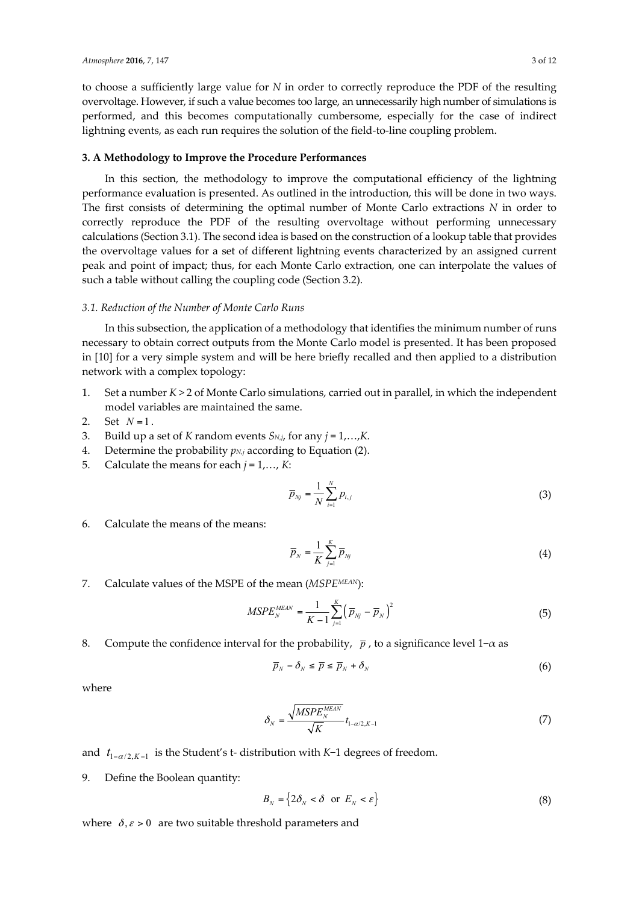to choose a sufficiently large value for *N* in order to correctly reproduce the PDF of the resulting overvoltage. However, if such a value becomes too large, an unnecessarily high number of simulations is performed, and this becomes computationally cumbersome, especially for the case of indirect lightning events, as each run requires the solution of the field-to-line coupling problem.

## **3. A Methodology to Improve the Procedure Performances**

In this section, the methodology to improve the computational efficiency of the lightning performance evaluation is presented. As outlined in the introduction, this will be done in two ways. The first consists of determining the optimal number of Monte Carlo extractions *N* in order to correctly reproduce the PDF of the resulting overvoltage without performing unnecessary calculations (Section 3.1). The second idea is based on the construction of a lookup table that provides the overvoltage values for a set of different lightning events characterized by an assigned current peak and point of impact; thus, for each Monte Carlo extraction, one can interpolate the values of such a table without calling the coupling code (Section 3.2).

#### *3.1. Reduction of the Number of Monte Carlo Runs*

In this subsection, the application of a methodology that identifies the minimum number of runs necessary to obtain correct outputs from the Monte Carlo model is presented. It has been proposed in [10] for a very simple system and will be here briefly recalled and then applied to a distribution network with a complex topology:

- 1. Set a number *K* > 2 of Monte Carlo simulations, carried out in parallel, in which the independent model variables are maintained the same.
- 2. Set  $N=1$ .
- 3. Build up a set of *K* random events *SN,j*, for any *j* = 1,…,*K*.
- 4. Determine the probability  $p_{N,j}$  according to Equation (2).
- 5. Calculate the means for each  $j = 1, \ldots, K$ :

$$
\overline{p}_{Nj} = \frac{1}{N} \sum_{i=1}^{N} p_{i,j} \tag{3}
$$

6. Calculate the means of the means:

$$
\overline{p}_N = \frac{1}{K} \sum_{j=1}^K \overline{p}_{Nj} \tag{4}
$$

7. Calculate values of the MSPE of the mean (*MSPEMEAN*):

$$
MSPE_N^{MEAN} = \frac{1}{K - 1} \sum_{j=1}^{K} (\bar{p}_{Nj} - \bar{p}_N)^2
$$
 (5)

8. Compute the confidence interval for the probability,  $\bar{p}$ , to a significance level 1– $\alpha$  as

$$
\overline{p}_N - \delta_N \le \overline{p} \le \overline{p}_N + \delta_N \tag{6}
$$

where

$$
\delta_N = \frac{\sqrt{MSPE_N^{MEAN}}}{\sqrt{K}} t_{1-\alpha/2, K-1}
$$
\n(7)

and  $t_{1-\alpha/2, K-1}$  is the Student's t- distribution with *K*−1 degrees of freedom.

9. Define the Boolean quantity:

$$
B_N = \{ 2\delta_N < \delta \quad \text{or} \quad E_N < \varepsilon \} \tag{8}
$$

where  $\delta, \varepsilon > 0$  are two suitable threshold parameters and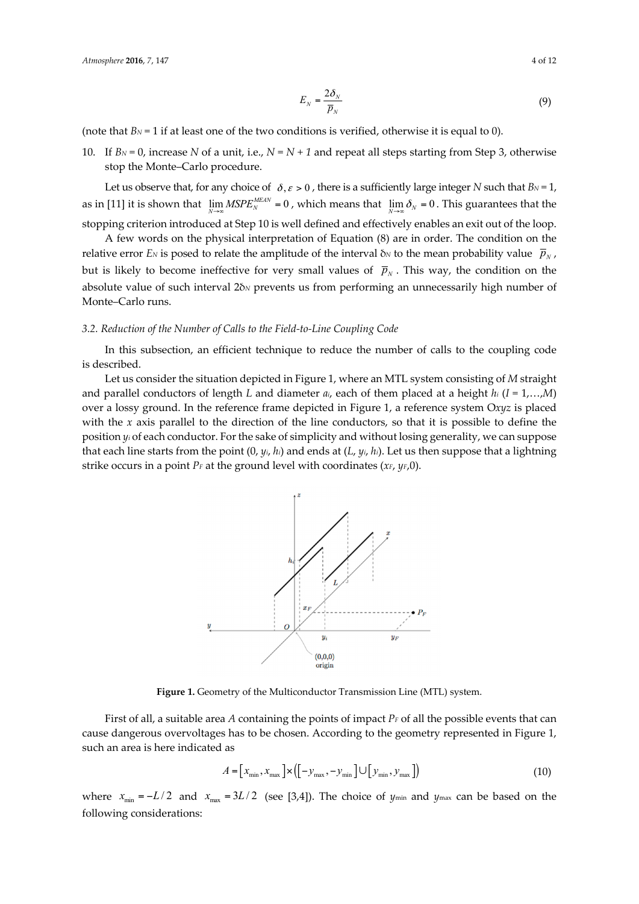$$
E_N = \frac{2\delta_N}{\overline{p}_N} \tag{9}
$$

(note that  $B_N = 1$  if at least one of the two conditions is verified, otherwise it is equal to 0).

*E*

10. If  $B_N = 0$ , increase *N* of a unit, i.e.,  $N = N + 1$  and repeat all steps starting from Step 3, otherwise stop the Monte–Carlo procedure.

Let us observe that, for any choice of  $\delta, \varepsilon > 0$ , there is a sufficiently large integer *N* such that  $B_N = 1$ , as in [11] it is shown that  $\lim_{N\to\infty} MSPE_N^{MEMN} = 0$ , which means that  $\lim_{N\to\infty} \delta_N = 0$ . This guarantees that the stopping criterion introduced at Step 10 is well defined and effectively enables an exit out of the loop.

A few words on the physical interpretation of Equation (8) are in order. The condition on the relative error *EN* is posed to relate the amplitude of the interval  $\delta$ *N* to the mean probability value  $\bar{p}_N$ , but is likely to become ineffective for very small values of  $\bar{p}_N$ . This way, the condition on the absolute value of such interval 2δ<sub>N</sub> prevents us from performing an unnecessarily high number of Monte–Carlo runs.

#### *3.2. Reduction of the Number of Calls to the Field-to-Line Coupling Code*

In this subsection, an efficient technique to reduce the number of calls to the coupling code is described.

Let us consider the situation depicted in Figure 1, where an MTL system consisting of *M* straight and parallel conductors of length *L* and diameter *ai*, each of them placed at a height *hi* (*I* = 1,…,*M*) over a lossy ground. In the reference frame depicted in Figure 1, a reference system O*xyz* is placed with the *x* axis parallel to the direction of the line conductors, so that it is possible to define the position *yi* of each conductor. For the sake of simplicity and without losing generality, we can suppose that each line starts from the point (0, *yi*, *hi*) and ends at (*L*, *yi*, *hi*). Let us then suppose that a lightning strike occurs in a point *PF* at the ground level with coordinates (*xF*, *yF*,0).



**Figure 1.** Geometry of the Multiconductor Transmission Line (MTL) system.

First of all, a suitable area *A* containing the points of impact *PF* of all the possible events that can cause dangerous overvoltages has to be chosen. According to the geometry represented in Figure 1, such an area is here indicated as

$$
A = \left[x_{\min}, x_{\max}\right] \times \left(\left[-y_{\max}, -y_{\min}\right] \cup \left[y_{\min}, y_{\max}\right]\right) \tag{10}
$$

where  $x_{min} = -L/2$  and  $x_{max} = 3L/2$  (see [3,4]). The choice of *y*<sub>min</sub> and *y*<sub>max</sub> can be based on the following considerations: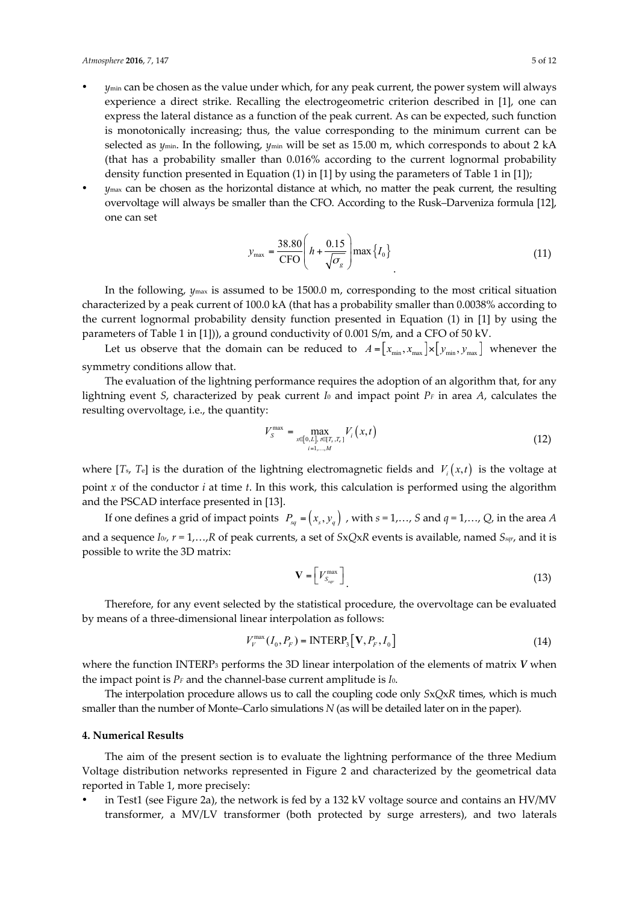- *y*min can be chosen as the value under which, for any peak current, the power system will always experience a direct strike. Recalling the electrogeometric criterion described in [1], one can express the lateral distance as a function of the peak current. As can be expected, such function is monotonically increasing; thus, the value corresponding to the minimum current can be selected as *y*<sub>min</sub>. In the following, *y*<sub>min</sub> will be set as 15.00 m, which corresponds to about 2 kA (that has a probability smaller than 0.016% according to the current lognormal probability density function presented in Equation (1) in [1] by using the parameters of Table 1 in [1]);
- *y*max can be chosen as the horizontal distance at which, no matter the peak current, the resulting overvoltage will always be smaller than the CFO. According to the Rusk–Darveniza formula [12], one can set

$$
y_{\text{max}} = \frac{38.80}{\text{CFO}} \left( h + \frac{0.15}{\sqrt{\sigma_g}} \right) \text{max} \left\{ I_0 \right\} \tag{11}
$$

In the following, *y*max is assumed to be 1500.0 m, corresponding to the most critical situation characterized by a peak current of 100.0 kA (that has a probability smaller than 0.0038% according to the current lognormal probability density function presented in Equation (1) in [1] by using the parameters of Table 1 in [1])), a ground conductivity of 0.001 S/m, and a CFO of 50 kV.

Let us observe that the domain can be reduced to  $A = [x_{min}, x_{max}] \times [y_{min}, y_{max}]$  whenever the symmetry conditions allow that.

The evaluation of the lightning performance requires the adoption of an algorithm that, for any lightning event *S*, characterized by peak current *I*<sup>0</sup> and impact point *PF* in area *A*, calculates the resulting overvoltage, i.e., the quantity:

$$
V_{S}^{\max} = \max_{x \in [0, L], \, t \in [T_s, T_e]} V_i(x, t)
$$
\n(12)

where  $[T_s, T_e]$  is the duration of the lightning electromagnetic fields and  $V_i(x,t)$  is the voltage at point *x* of the conductor *i* at time *t*. In this work, this calculation is performed using the algorithm and the PSCAD interface presented in [13].

If one defines a grid of impact points  $P_{sq} = (x_s, y_q)$ , with  $s = 1,..., S$  and  $q = 1,..., Q$ , in the area *A* and a sequence *I*0*r, r* = 1,…,*R* of peak currents, a set of *S*x*Q*x*R* events is available, named *Ssqr*, and it is possible to write the 3D matrix:

$$
\mathbf{V} = \left[ V_{S_{\text{sqrt}}}^{\text{max}} \right] \tag{13}
$$

Therefore, for any event selected by the statistical procedure, the overvoltage can be evaluated by means of a three-dimensional linear interpolation as follows:

$$
V_{V}^{\max}(I_0, P_F) = \text{INTERP}_3[\mathbf{V}, P_F, I_0]
$$
\n(14)

where the function INTERP3 performs the 3D linear interpolation of the elements of matrix *V* when the impact point is *PF* and the channel-base current amplitude is *I*0.

The interpolation procedure allows us to call the coupling code only *S*x*Q*x*R* times, which is much smaller than the number of Monte–Carlo simulations *N* (as will be detailed later on in the paper).

## **4. Numerical Results**

The aim of the present section is to evaluate the lightning performance of the three Medium Voltage distribution networks represented in Figure 2 and characterized by the geometrical data reported in Table 1, more precisely:

 in Test1 (see Figure 2a), the network is fed by a 132 kV voltage source and contains an HV/MV transformer, a MV/LV transformer (both protected by surge arresters), and two laterals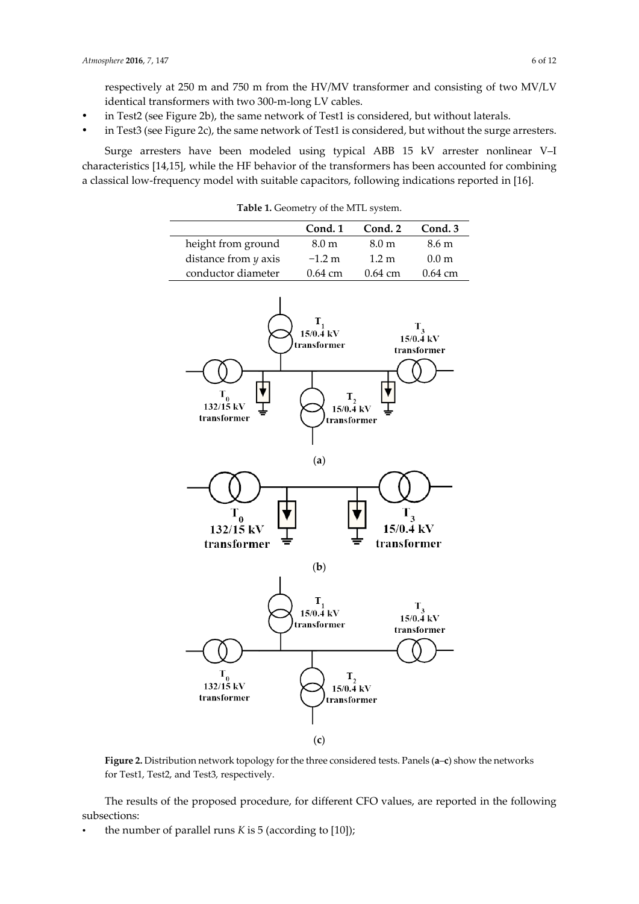respectively at 250 m and 750 m from the HV/MV transformer and consisting of two MV/LV identical transformers with two 300-m-long LV cables.

- in Test2 (see Figure 2b), the same network of Test1 is considered, but without laterals.
- in Test3 (see Figure 2c), the same network of Test1 is considered, but without the surge arresters.

Surge arresters have been modeled using typical ABB 15 kV arrester nonlinear V–I characteristics [14,15], while the HF behavior of the transformers has been accounted for combining a classical low-frequency model with suitable capacitors, following indications reported in [16].

**Table 1.** Geometry of the MTL system.

|                        | Cond. 1           | Cond. 2               | Cond. 3           |
|------------------------|-------------------|-----------------------|-------------------|
| height from ground     | 8.0 <sub>m</sub>  | 8.0 <sub>m</sub>      | 8.6 m             |
| distance from $y$ axis | $-1.2 m$          | 1.2 m                 | 0.0 <sub>m</sub>  |
| conductor diameter     | $0.64 \text{ cm}$ | $0.64 \; \mathrm{cm}$ | $0.64 \text{ cm}$ |



**Figure 2.** Distribution network topology for the three considered tests. Panels (**a**–**c**) show the networks for Test1, Test2, and Test3, respectively.

The results of the proposed procedure, for different CFO values, are reported in the following subsections:

the number of parallel runs  $K$  is  $5$  (according to [10]);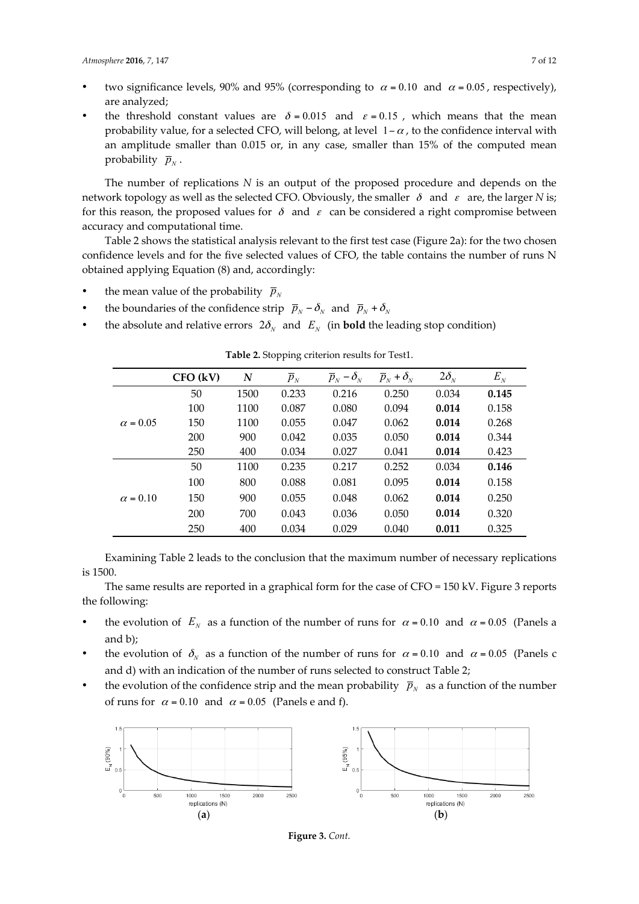- two significance levels, 90% and 95% (corresponding to  $\alpha = 0.10$  and  $\alpha = 0.05$ , respectively), are analyzed;
- the threshold constant values are  $\delta = 0.015$  and  $\varepsilon = 0.15$ , which means that the mean probability value, for a selected CFO, will belong, at level  $1 - \alpha$ , to the confidence interval with an amplitude smaller than 0.015 or, in any case, smaller than 15% of the computed mean probability  $\bar{p}_N$ .

The number of replications *N* is an output of the proposed procedure and depends on the network topology as well as the selected CFO. Obviously, the smaller  $\delta$  and  $\varepsilon$  are, the larger *N* is; for this reason, the proposed values for  $\delta$  and  $\varepsilon$  can be considered a right compromise between accuracy and computational time.

Table 2 shows the statistical analysis relevant to the first test case (Figure 2a): for the two chosen confidence levels and for the five selected values of CFO, the table contains the number of runs N obtained applying Equation (8) and, accordingly:

- the mean value of the probability  $\bar{p}_y$
- the boundaries of the confidence strip  $\overline{p}_N \delta_N$  and  $\overline{p}_N + \delta_N$
- the absolute and relative errors  $2\delta_N$  and  $E_N$  (in **bold** the leading stop condition)

|                 | $CFO$ (kV) | N    | $\overline{p}_N$ | $\overline{p}_N - \delta_N$ | $\overline{p}_N + \delta_N$ | $2\delta_{N}$ | $E_N$ |
|-----------------|------------|------|------------------|-----------------------------|-----------------------------|---------------|-------|
| $\alpha = 0.05$ | 50         | 1500 | 0.233            | 0.216                       | 0.250                       | 0.034         | 0.145 |
|                 | 100        | 1100 | 0.087            | 0.080                       | 0.094                       | 0.014         | 0.158 |
|                 | 150        | 1100 | 0.055            | 0.047                       | 0.062                       | 0.014         | 0.268 |
|                 | 200        | 900  | 0.042            | 0.035                       | 0.050                       | 0.014         | 0.344 |
|                 | 250        | 400  | 0.034            | 0.027                       | 0.041                       | 0.014         | 0.423 |
| $\alpha = 0.10$ | 50         | 1100 | 0.235            | 0.217                       | 0.252                       | 0.034         | 0.146 |
|                 | 100        | 800  | 0.088            | 0.081                       | 0.095                       | 0.014         | 0.158 |
|                 | 150        | 900  | 0.055            | 0.048                       | 0.062                       | 0.014         | 0.250 |
|                 | 200        | 700  | 0.043            | 0.036                       | 0.050                       | 0.014         | 0.320 |
|                 | 250        | 400  | 0.034            | 0.029                       | 0.040                       | 0.011         | 0.325 |

**Table 2.** Stopping criterion results for Test1.

Examining Table 2 leads to the conclusion that the maximum number of necessary replications is 1500.

The same results are reported in a graphical form for the case of CFO = 150 kV. Figure 3 reports the following:

- the evolution of  $E_N$  as a function of the number of runs for  $\alpha = 0.10$  and  $\alpha = 0.05$  (Panels a and b);
- the evolution of  $\delta_N$  as a function of the number of runs for  $\alpha = 0.10$  and  $\alpha = 0.05$  (Panels c and d) with an indication of the number of runs selected to construct Table 2;
- the evolution of the confidence strip and the mean probability  $\bar{p}_N$  as a function of the number of runs for  $\alpha = 0.10$  and  $\alpha = 0.05$  (Panels e and f).



**Figure 3.** *Cont.*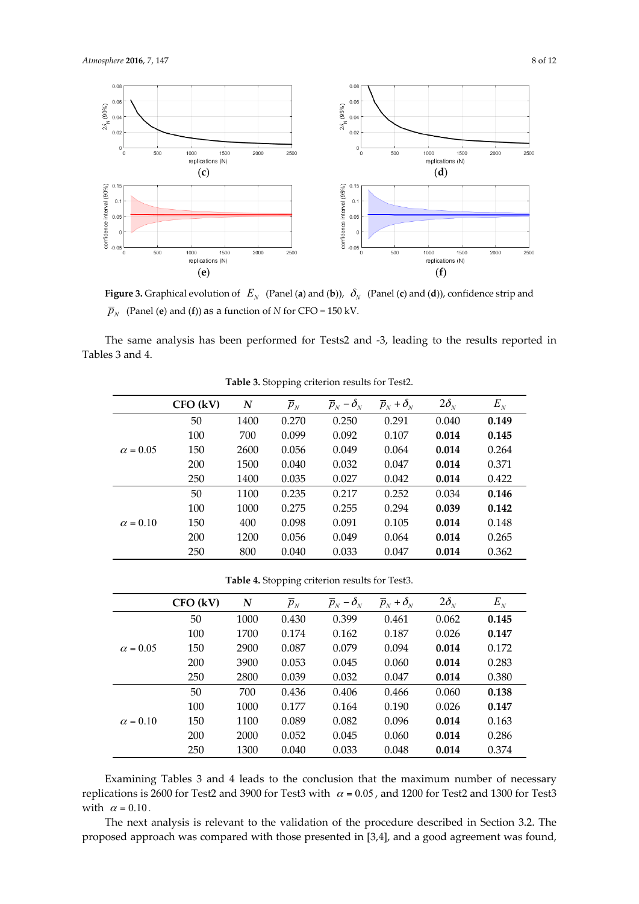

**Figure 3.** Graphical evolution of  $E_N$  (Panel (**a**) and (**b**)),  $\delta_N$  (Panel (**c**) and (**d**)), confidence strip and  $\overline{p}_N$  (Panel (**e**) and (**f**)) as a function of *N* for CFO = 150 kV.

The same analysis has been performed for Tests2 and -3, leading to the results reported in Tables 3 and 4.

|                 | $CFO$ (kV) | N    | $\overline{p}_N$ | $-\delta_{N}$<br>$\overline{p}_N$ | $\overline{p}_N + \delta_N$ | $2\delta_{N}$ | $E_{N}$ |
|-----------------|------------|------|------------------|-----------------------------------|-----------------------------|---------------|---------|
| $\alpha = 0.05$ | 50         | 1400 | 0.270            | 0.250                             | 0.291                       | 0.040         | 0.149   |
|                 | 100        | 700  | 0.099            | 0.092                             | 0.107                       | 0.014         | 0.145   |
|                 | 150        | 2600 | 0.056            | 0.049                             | 0.064                       | 0.014         | 0.264   |
|                 | 200        | 1500 | 0.040            | 0.032                             | 0.047                       | 0.014         | 0.371   |
|                 | 250        | 1400 | 0.035            | 0.027                             | 0.042                       | 0.014         | 0.422   |
| $\alpha = 0.10$ | 50         | 1100 | 0.235            | 0.217                             | 0.252                       | 0.034         | 0.146   |
|                 | 100        | 1000 | 0.275            | 0.255                             | 0.294                       | 0.039         | 0.142   |
|                 | 150        | 400  | 0.098            | 0.091                             | 0.105                       | 0.014         | 0.148   |
|                 | 200        | 1200 | 0.056            | 0.049                             | 0.064                       | 0.014         | 0.265   |
|                 | 250        | 800  | 0.040            | 0.033                             | 0.047                       | 0.014         | 0.362   |

**Table 3.** Stopping criterion results for Test2.

**Table 4.** Stopping criterion results for Test3.

|                 | $CFO$ (kV) | N    | $\overline{p}_N$ | $\overline{p}_N - \delta_N$ | $\overline{p}_N + \delta_N$ | $2\delta_{N}$ | $E_{N}$ |
|-----------------|------------|------|------------------|-----------------------------|-----------------------------|---------------|---------|
| $\alpha = 0.05$ | 50         | 1000 | 0.430            | 0.399                       | 0.461                       | 0.062         | 0.145   |
|                 | 100        | 1700 | 0.174            | 0.162                       | 0.187                       | 0.026         | 0.147   |
|                 | 150        | 2900 | 0.087            | 0.079                       | 0.094                       | 0.014         | 0.172   |
|                 | 200        | 3900 | 0.053            | 0.045                       | 0.060                       | 0.014         | 0.283   |
|                 | 250        | 2800 | 0.039            | 0.032                       | 0.047                       | 0.014         | 0.380   |
| $\alpha = 0.10$ | 50         | 700  | 0.436            | 0.406                       | 0.466                       | 0.060         | 0.138   |
|                 | 100        | 1000 | 0.177            | 0.164                       | 0.190                       | 0.026         | 0.147   |
|                 | 150        | 1100 | 0.089            | 0.082                       | 0.096                       | 0.014         | 0.163   |
|                 | 200        | 2000 | 0.052            | 0.045                       | 0.060                       | 0.014         | 0.286   |
|                 | 250        | 1300 | 0.040            | 0.033                       | 0.048                       | 0.014         | 0.374   |

Examining Tables 3 and 4 leads to the conclusion that the maximum number of necessary replications is 2600 for Test2 and 3900 for Test3 with  $\alpha$  = 0.05, and 1200 for Test2 and 1300 for Test3 with  $\alpha = 0.10$ .

The next analysis is relevant to the validation of the procedure described in Section 3.2. The proposed approach was compared with those presented in [3,4], and a good agreement was found,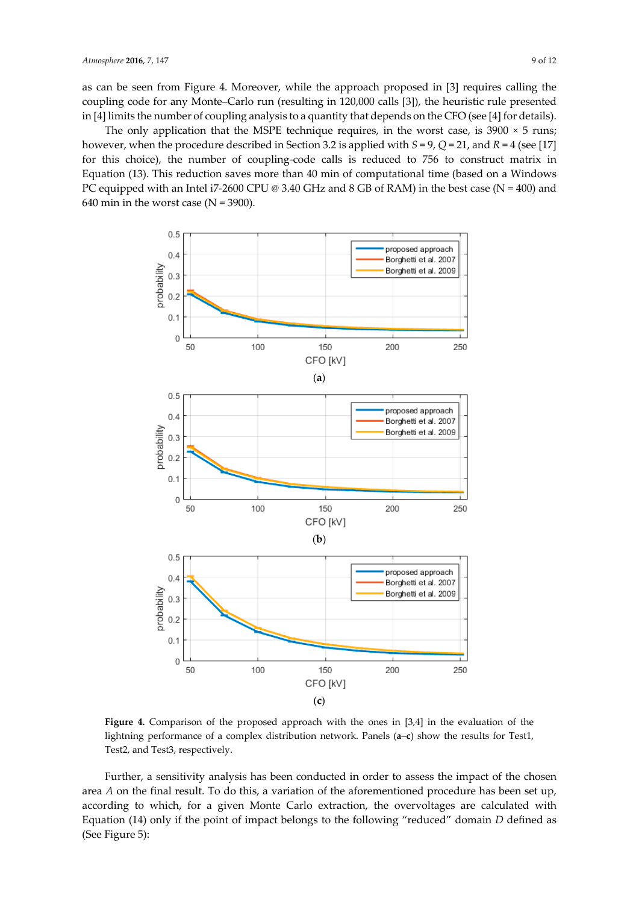as can be seen from Figure 4. Moreover, while the approach proposed in [3] requires calling the coupling code for any Monte–Carlo run (resulting in 120,000 calls [3]), the heuristic rule presented in [4] limits the number of coupling analysis to a quantity that depends on the CFO (see [4] for details).

The only application that the MSPE technique requires, in the worst case, is  $3900 \times 5$  runs; however, when the procedure described in Section 3.2 is applied with *S* = 9, *Q* = 21, and *R* = 4 (see [17] for this choice), the number of coupling-code calls is reduced to 756 to construct matrix in Equation (13). This reduction saves more than 40 min of computational time (based on a Windows PC equipped with an Intel i7-2600 CPU @ 3.40 GHz and 8 GB of RAM) in the best case (N = 400) and 640 min in the worst case ( $N = 3900$ ).



**Figure 4.** Comparison of the proposed approach with the ones in [3,4] in the evaluation of the lightning performance of a complex distribution network. Panels (**a**–**c**) show the results for Test1, Test2, and Test3, respectively.

Further, a sensitivity analysis has been conducted in order to assess the impact of the chosen area *A* on the final result. To do this, a variation of the aforementioned procedure has been set up, according to which, for a given Monte Carlo extraction, the overvoltages are calculated with Equation (14) only if the point of impact belongs to the following "reduced" domain *D* defined as (See Figure 5):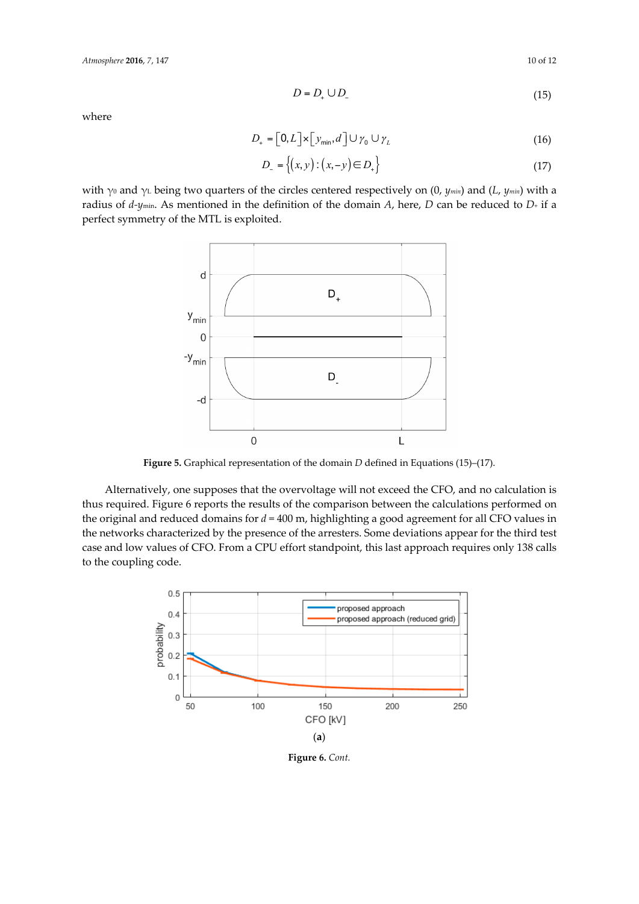$$
D = D_+ \cup D_- \tag{15}
$$

where

$$
D_{+} = \left[0, L\right] \times \left[y_{\min}, d\right] \cup \gamma_0 \cup \gamma_L \tag{16}
$$

$$
D_{-} = \{(x, y) : (x, -y) \in D_{+}\}\
$$
 (17)

with γ<sub>0</sub> and γ<sub>L</sub> being two quarters of the circles centered respectively on (0, *ymin*) and (*L*, *ymin*) with a radius of *d-y*min. As mentioned in the definition of the domain *A*, here, *D* can be reduced to *D*+ if a perfect symmetry of the MTL is exploited.



**Figure 5.** Graphical representation of the domain *D* defined in Equations (15)–(17).

Alternatively, one supposes that the overvoltage will not exceed the CFO, and no calculation is thus required. Figure 6 reports the results of the comparison between the calculations performed on the original and reduced domains for *d* = 400 m, highlighting a good agreement for all CFO values in the networks characterized by the presence of the arresters. Some deviations appear for the third test case and low values of CFO. From a CPU effort standpoint, this last approach requires only 138 calls to the coupling code.



**Figure 6.** *Cont.*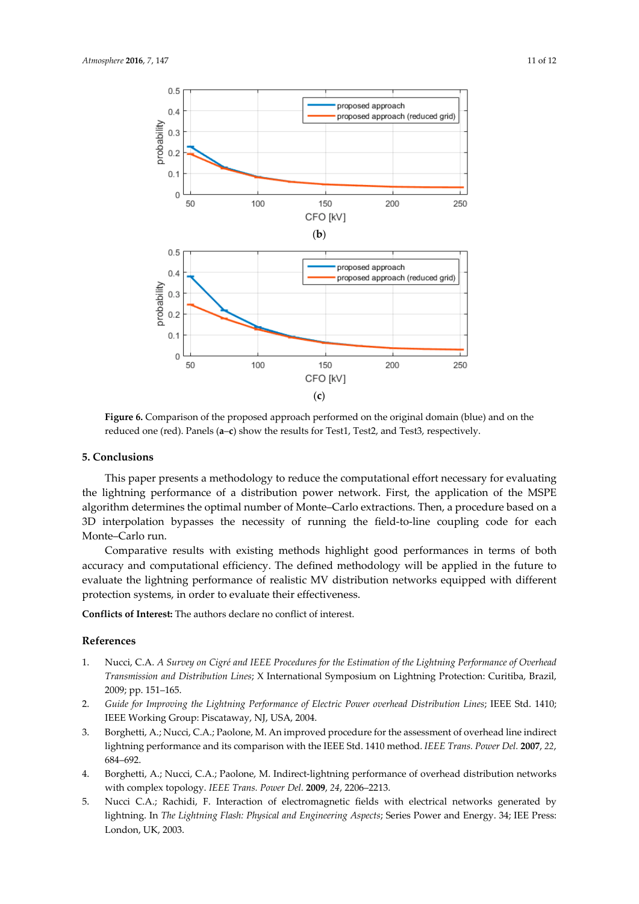

**Figure 6.** Comparison of the proposed approach performed on the original domain (blue) and on the reduced one (red). Panels (**a**–**c**) show the results for Test1, Test2, and Test3, respectively.

#### **5. Conclusions**

This paper presents a methodology to reduce the computational effort necessary for evaluating the lightning performance of a distribution power network. First, the application of the MSPE algorithm determines the optimal number of Monte–Carlo extractions. Then, a procedure based on a 3D interpolation bypasses the necessity of running the field-to-line coupling code for each Monte–Carlo run.

Comparative results with existing methods highlight good performances in terms of both accuracy and computational efficiency. The defined methodology will be applied in the future to evaluate the lightning performance of realistic MV distribution networks equipped with different protection systems, in order to evaluate their effectiveness.

**Conflicts of Interest:** The authors declare no conflict of interest.

#### **References**

- 1. Nucci, C.A. *A Survey on Cigré and IEEE Procedures for the Estimation of the Lightning Performance of Overhead Transmission and Distribution Lines*; X International Symposium on Lightning Protection: Curitiba, Brazil, 2009; pp. 151–165.
- 2. *Guide for Improving the Lightning Performance of Electric Power overhead Distribution Lines*; IEEE Std. 1410; IEEE Working Group: Piscataway, NJ, USA, 2004.
- 3. Borghetti, A.; Nucci, C.A.; Paolone, M. An improved procedure for the assessment of overhead line indirect lightning performance and its comparison with the IEEE Std. 1410 method. *IEEE Trans. Power Del.* **2007**, *22*, 684–692.
- 4. Borghetti, A.; Nucci, C.A.; Paolone, M. Indirect-lightning performance of overhead distribution networks with complex topology. *IEEE Trans. Power Del.* **2009**, *24*, 2206–2213.
- 5. Nucci C.A.; Rachidi, F. Interaction of electromagnetic fields with electrical networks generated by lightning. In *The Lightning Flash: Physical and Engineering Aspects*; Series Power and Energy. 34; IEE Press: London, UK, 2003.